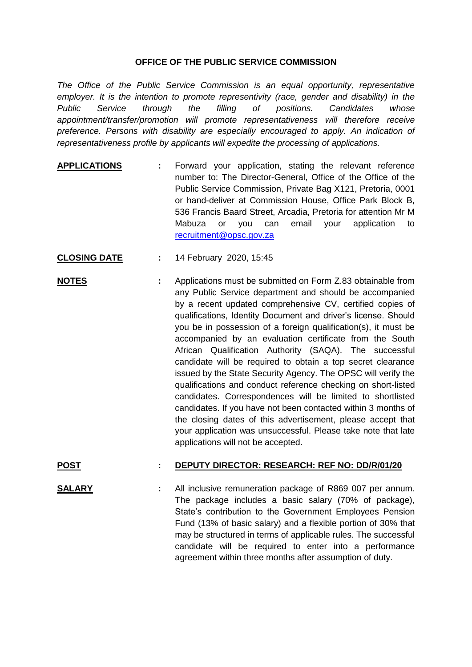## **OFFICE OF THE PUBLIC SERVICE COMMISSION**

*The Office of the Public Service Commission is an equal opportunity, representative employer. It is the intention to promote representivity (race, gender and disability) in the Public Service through the filling of positions. Candidates whose appointment/transfer/promotion will promote representativeness will therefore receive preference. Persons with disability are especially encouraged to apply. An indication of representativeness profile by applicants will expedite the processing of applications.*

- **APPLICATIONS :** Forward your application, stating the relevant reference number to: The Director-General, Office of the Office of the Public Service Commission, Private Bag X121, Pretoria, 0001 or hand-deliver at Commission House, Office Park Block B, 536 Francis Baard Street, Arcadia, Pretoria for attention Mr M Mabuza or you can email your application to [recruitment@opsc.gov.za](mailto:recruitment@opsc.gov.za)
- **CLOSING DATE :** 14 February 2020, 15:45
- **NOTES :** Applications must be submitted on Form Z.83 obtainable from any Public Service department and should be accompanied by a recent updated comprehensive CV, certified copies of qualifications, Identity Document and driver's license. Should you be in possession of a foreign qualification(s), it must be accompanied by an evaluation certificate from the South African Qualification Authority (SAQA). The successful candidate will be required to obtain a top secret clearance issued by the State Security Agency. The OPSC will verify the qualifications and conduct reference checking on short-listed candidates. Correspondences will be limited to shortlisted candidates. If you have not been contacted within 3 months of the closing dates of this advertisement, please accept that your application was unsuccessful. Please take note that late applications will not be accepted.

## **POST : DEPUTY DIRECTOR: RESEARCH: REF NO: DD/R/01/20**

**SALARY :** All inclusive remuneration package of R869 007 per annum. The package includes a basic salary (70% of package), State's contribution to the Government Employees Pension Fund (13% of basic salary) and a flexible portion of 30% that may be structured in terms of applicable rules. The successful candidate will be required to enter into a performance agreement within three months after assumption of duty.